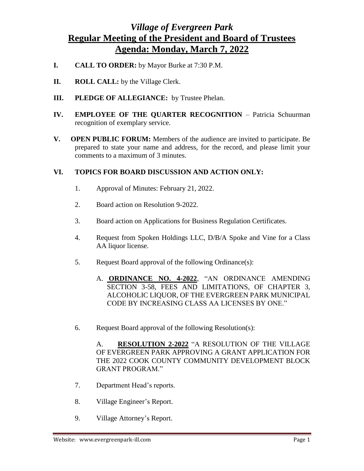## *Village of Evergreen Park* **Regular Meeting of the President and Board of Trustees Agenda: Monday, March 7, 2022**

- **I. CALL TO ORDER:** by Mayor Burke at 7:30 P.M.
- **II. ROLL CALL:** by the Village Clerk.
- **III. PLEDGE OF ALLEGIANCE:** by Trustee Phelan.
- **IV. EMPLOYEE OF THE QUARTER RECOGNITION** Patricia Schuurman recognition of exemplary service.
- **V. OPEN PUBLIC FORUM:** Members of the audience are invited to participate. Be prepared to state your name and address, for the record, and please limit your comments to a maximum of 3 minutes.

## **VI. TOPICS FOR BOARD DISCUSSION AND ACTION ONLY:**

- 1. Approval of Minutes: February 21, 2022.
- 2. Board action on Resolution 9-2022.
- 3. Board action on Applications for Business Regulation Certificates.
- 4. Request from Spoken Holdings LLC, D/B/A Spoke and Vine for a Class AA liquor license.
- 5. Request Board approval of the following Ordinance(s):
	- A. **ORDINANCE NO. 4-2022**, "AN ORDINANCE AMENDING SECTION 3-58, FEES AND LIMITATIONS, OF CHAPTER 3, ALCOHOLIC LIQUOR, OF THE EVERGREEN PARK MUNICIPAL CODE BY INCREASING CLASS AA LICENSES BY ONE."
- 6. Request Board approval of the following Resolution(s):

A. **RESOLUTION 2-2022** "A RESOLUTION OF THE VILLAGE OF EVERGREEN PARK APPROVING A GRANT APPLICATION FOR THE 2022 COOK COUNTY COMMUNITY DEVELOPMENT BLOCK GRANT PROGRAM."

- 7. Department Head's reports.
- 8. Village Engineer's Report.
- 9. Village Attorney's Report.